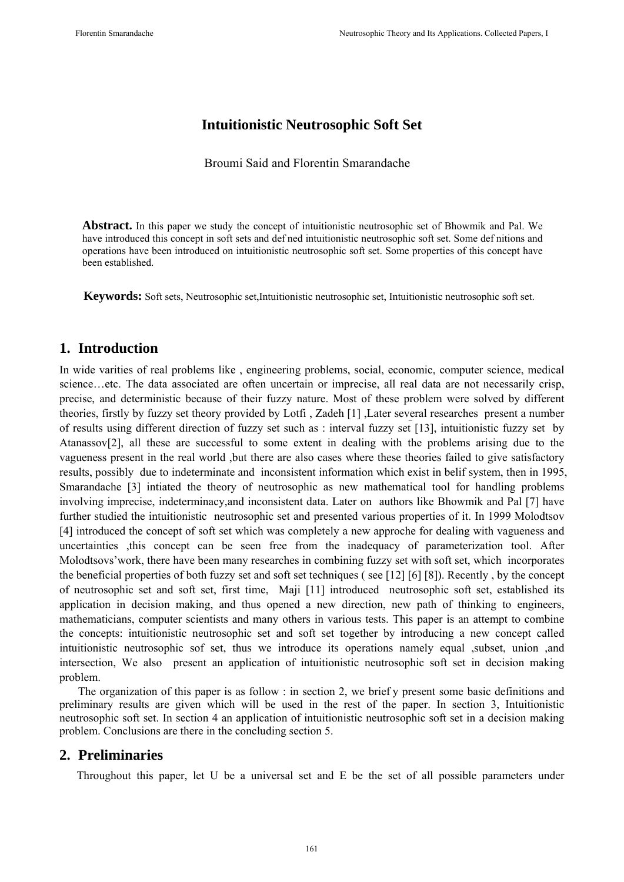# **Intuitionistic Neutrosophic Soft Set**

Broumi Said and Florentin Smarandache

**Abstract.** In this paper we study the concept of intuitionistic neutrosophic set of Bhowmik and Pal. We have introduced this concept in soft sets and def ned intuitionistic neutrosophic soft set. Some def nitions and operations have been introduced on intuitionistic neutrosophic soft set. Some properties of this concept have been established.

**Keywords:** Soft sets, Neutrosophic set,Intuitionistic neutrosophic set, Intuitionistic neutrosophic soft set.

## **1. Introduction**

In wide varities of real problems like , engineering problems, social, economic, computer science, medical science…etc. The data associated are often uncertain or imprecise, all real data are not necessarily crisp, precise, and deterministic because of their fuzzy nature. Most of these problem were solved by different theories, firstly by fuzzy set theory provided by Lotfi , Zadeh [1] ,Later several researches present a number of results using different direction of fuzzy set such as : interval fuzzy set [13], intuitionistic fuzzy set by Atanassov[2], all these are successful to some extent in dealing with the problems arising due to the vagueness present in the real world ,but there are also cases where these theories failed to give satisfactory results, possibly due to indeterminate and inconsistent information which exist in belif system, then in 1995, Smarandache [3] intiated the theory of neutrosophic as new mathematical tool for handling problems involving imprecise, indeterminacy,and inconsistent data. Later on authors like Bhowmik and Pal [7] have further studied the intuitionistic neutrosophic set and presented various properties of it. In 1999 Molodtsov [4] introduced the concept of soft set which was completely a new approche for dealing with vagueness and uncertainties ,this concept can be seen free from the inadequacy of parameterization tool. After Molodtsovs'work, there have been many researches in combining fuzzy set with soft set, which incorporates the beneficial properties of both fuzzy set and soft set techniques ( see [12] [6] [8]). Recently , by the concept of neutrosophic set and soft set, first time, Maji [11] introduced neutrosophic soft set, established its application in decision making, and thus opened a new direction, new path of thinking to engineers, mathematicians, computer scientists and many others in various tests. This paper is an attempt to combine the concepts: intuitionistic neutrosophic set and soft set together by introducing a new concept called intuitionistic neutrosophic sof set, thus we introduce its operations namely equal ,subset, union ,and intersection, We also present an application of intuitionistic neutrosophic soft set in decision making problem.

The organization of this paper is as follow : in section 2, we brief y present some basic definitions and preliminary results are given which will be used in the rest of the paper. In section 3, Intuitionistic neutrosophic soft set. In section 4 an application of intuitionistic neutrosophic soft set in a decision making problem. Conclusions are there in the concluding section 5.

## **2. Preliminaries**

Throughout this paper, let U be a universal set and E be the set of all possible parameters under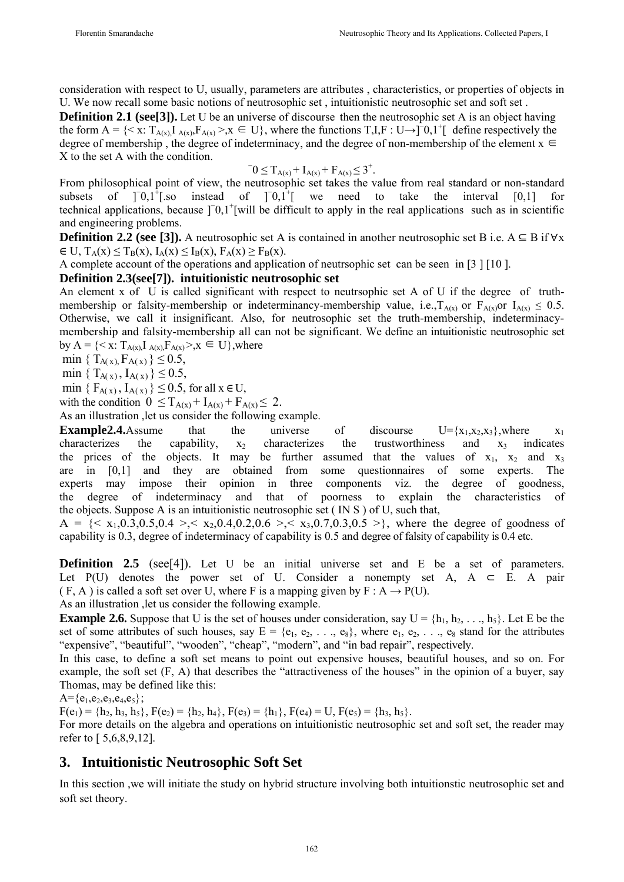consideration with respect to U, usually, parameters are attributes , characteristics, or properties of objects in U. We now recall some basic notions of neutrosophic set , intuitionistic neutrosophic set and soft set .

**Definition 2.1 (see[3]).** Let U be an universe of discourse then the neutrosophic set A is an object having the form  $A = \{ \langle x : T_{A(x)}, I_{A(x)}, F_{A(x)} \rangle, x \in U \}$ , where the functions  $T, I, F : U \rightarrow \overline{I} \setminus 0, 1^+$  define respectively the degree of membership , the degree of indeterminacy, and the degree of non-membership of the element  $x \in$  $X$  to the set A with the condition

$$
0 \leq T_{A(x)} + I_{A(x)} + F_{A(x)} \leq 3^+.
$$

From philosophical point of view, the neutrosophic set takes the value from real standard or non-standard subsets of  $\left[0.1\right]$ .so [.so instead of ]<sup>−</sup>0,1<sup>+</sup>[ we need to take the interval [0,1] for technical applications, because ]<sup>−</sup>0,1<sup>+</sup>[will be difficult to apply in the real applications such as in scientific and engineering problems.

**Definition 2.2 (see [3]).** A neutrosophic set A is contained in another neutrosophic set B i.e.  $A \subseteq B$  if  $\forall x$  $\in$  U,  $T_A(x) \leq T_B(x)$ ,  $I_A(x) \leq I_B(x)$ ,  $F_A(x) \geq F_B(x)$ .

A complete account of the operations and application of neutrsophic set can be seen in [3 ] [10 ].

#### **Definition 2.3(see[7]). intuitionistic neutrosophic set**

An element x of U is called significant with respect to neutrsophic set A of U if the degree of truthmembership or falsity-membership or indeterminancy-membership value, i.e., $T_{A(x)}$  or  $F_{A(x)}$  or  $T_{A(x)} \leq 0.5$ . Otherwise, we call it insignificant. Also, for neutrosophic set the truth-membership, indeterminacymembership and falsity-membership all can not be significant. We define an intuitionistic neutrosophic set by A =  $\{ \langle x : T_{A(x)} I_{A(x)} F_{A(x)} \rangle, x \in U \}$ , where

min {  $T_{A(x)} F_{A(x)}$  }  $\leq$  0.5,

min {  $T_{A(x)}$ ,  $I_{A(x)}$ }  $\leq 0.5$ ,

min {  $F_{A(x)}$ ,  $I_{A(x)}$ }  $\leq$  0.5, for all  $x \in U$ ,

with the condition  $0 \leq T_{A(x)} + I_{A(x)} + F_{A(x)} \leq 2$ .

As an illustration ,let us consider the following example.

**Example2.4.**Assume that the universe of discourse  $U = \{x_1, x_2, x_3\}$ , where  $x_1$ characterizes the capability,  $x_2$  characterizes the trustworthiness and  $x_3$  indicates the prices of the objects. It may be further assumed that the values of  $x_1$ ,  $x_2$  and  $x_3$ are in [0,1] and they are obtained from some questionnaires of some experts. The experts may impose their opinion in three components viz. the degree of goodness, the degree of indeterminacy and that of poorness to explain the characteristics of the objects. Suppose A is an intuitionistic neutrosophic set ( IN S ) of U, such that,

 $A = \{ \langle x_1, 0.3, 0.5, 0.4 \rangle, \langle x_2, 0.4, 0.2, 0.6 \rangle, \langle x_3, 0.7, 0.3, 0.5 \rangle \}$ , where the degree of goodness of capability is 0.3, degree of indeterminacy of capability is 0.5 and degree of falsity of capability is 0.4 etc.

**Definition 2.5** (see<sup>[4]</sup>). Let U be an initial universe set and E be a set of parameters. Let P(U) denotes the power set of U. Consider a nonempty set A,  $A \subseteq E$ . A pair  $(F, A)$  is called a soft set over U, where F is a mapping given by  $F : A \rightarrow P(U)$ .

As an illustration ,let us consider the following example.

**Example 2.6.** Suppose that U is the set of houses under consideration, say  $U = \{h_1, h_2, \ldots, h_5\}$ . Let E be the set of some attributes of such houses, say  $E = \{e_1, e_2, \ldots, e_8\}$ , where  $e_1, e_2, \ldots, e_8$  stand for the attributes "expensive", "beautiful", "wooden", "cheap", "modern", and "in bad repair", respectively.

In this case, to define a soft set means to point out expensive houses, beautiful houses, and so on. For example, the soft set (F, A) that describes the "attractiveness of the houses" in the opinion of a buyer, say Thomas, may be defined like this:

 $A = \{e_1, e_2, e_3, e_4, e_5\};$ 

 $F(e_1) = \{h_2, h_3, h_5\}, F(e_2) = \{h_2, h_4\}, F(e_3) = \{h_1\}, F(e_4) = U, F(e_5) = \{h_3, h_5\}.$ 

For more details on the algebra and operations on intuitionistic neutrosophic set and soft set, the reader may refer to [ 5,6,8,9,12].

## **3. Intuitionistic Neutrosophic Soft Set**

In this section ,we will initiate the study on hybrid structure involving both intuitionstic neutrosophic set and soft set theory.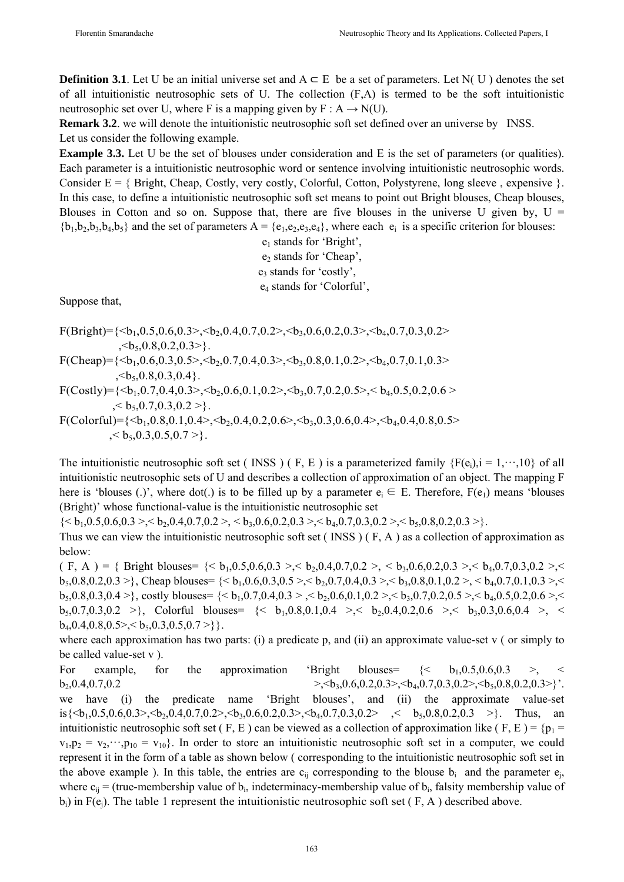**Definition 3.1**. Let U be an initial universe set and  $A \subseteq E$  be a set of parameters. Let N( U) denotes the set of all intuitionistic neutrosophic sets of U. The collection (F,A) is termed to be the soft intuitionistic neutrosophic set over U, where F is a mapping given by  $F : A \rightarrow N(U)$ .

**Remark 3.2**, we will denote the intuitionistic neutrosophic soft set defined over an universe by INSS. Let us consider the following example.

**Example 3.3.** Let U be the set of blouses under consideration and E is the set of parameters (or qualities). Each parameter is a intuitionistic neutrosophic word or sentence involving intuitionistic neutrosophic words. Consider  $E = \{ Bright, Cheap, Costly, very costly, Colorful, Cotton, Polystyrene, long sleeve, expensive \}.$ In this case, to define a intuitionistic neutrosophic soft set means to point out Bright blouses, Cheap blouses, Blouses in Cotton and so on. Suppose that, there are five blouses in the universe U given by,  $U =$  ${b_1, b_2, b_3, b_4, b_5}$  and the set of parameters  $A = {e_1, e_2, e_3, e_4}$ , where each  $e_i$  is a specific criterion for blouses:

> $e_1$  stands for 'Bright',  $e_2$  stands for 'Cheap', e<sub>3</sub> stands for 'costly', e4 stands for 'Colorful',

Suppose that,

- F(Bright)={ $\langle 6h_1, 0.5, 0.6, 0.3 \rangle$ ,  $\langle 6h_2, 0.4, 0.7, 0.2 \rangle$ ,  $\langle 6h_3, 0.6, 0.2, 0.3 \rangle$ ,  $\langle 6h_4, 0.7, 0.3, 0.2 \rangle$  $\langle 6, 0.8, 0.2, 0.3 \rangle$ . F(Cheap)={ $\leq b_1, 0.6, 0.3, 0.5$  $>$ ,  $\leq b_2, 0.7, 0.4, 0.3$  $>$ ,  $\leq b_3, 0.8, 0.1, 0.2$  $>$ ,  $\leq b_4, 0.7, 0.1, 0.3$  $>$  $\langle 6, 0.8, 0.3, 0.4 \rangle$ .  $F(Costly)=\{**1,0.7,0.4,0.3>,**1,0.2,0.5,0.7,0.2,0.5>,**1,0.5,0.2,0.6>\}******$
- $\langle 6, 0.7, 0.3, 0.2 \rangle$ .  $F(Colorful) = \{**1,0.8,0.1,0.4>, **1,0.2,0.6,0.4,0.3,0.6,0.4>, **1,0.4,0.8,0.5** \}****$  $\langle 6, 0.3, 0.5, 0.7 \rangle$ .

The intuitionistic neutrosophic soft set (INSS) (F, E) is a parameterized family  ${F(e_i)}$ ,  $i = 1, \dots, 10$  of all intuitionistic neutrosophic sets of U and describes a collection of approximation of an object. The mapping F here is 'blouses (.)', where dot(.) is to be filled up by a parameter  $e_i \in E$ . Therefore,  $F(e_1)$  means 'blouses (Bright)' whose functional-value is the intuitionistic neutrosophic set

 $\{< b_1, 0.5, 0.6, 0.3>, < b_2, 0.4, 0.7, 0.2>, < b_3, 0.6, 0.2, 0.3>, < b_4, 0.7, 0.3, 0.2, < b_5, 0.8, 0.2, 0.3, \}$ .

Thus we can view the intuitionistic neutrosophic soft set ( INSS ) ( F, A ) as a collection of approximation as below:

( F, A ) = { Bright blouses= {< b1,0.5,0.6,0.3 >,< b2,0.4,0.7,0.2 >, < b3,0.6,0.2,0.3 >,< b4,0.7,0.3,0.2 >,<  $b_5,0.8,0.2,0.3 >$ }, Cheap blouses=  $\{$  $b_5,0.8,0.3,0.4 >$ }, costly blouses=  $\{$  $b_5, 0.7, 0.3, 0.2$  >}, Colorful blouses  $\leq b_1, 0.8, 0.1, 0.4$  >,  $\leq b_2, 0.4, 0.2, 0.6$  >,  $\leq b_3, 0.3, 0.6, 0.4$  >,  $\leq$  $b_4, 0.4, 0.8, 0.5 > < b_5, 0.3, 0.5, 0.7 > \}$ .

where each approximation has two parts: (i) a predicate p, and (ii) an approximate value-set v (or simply to be called value-set v ).

For example, for the approximation 'Bright blouses=  $\{\langle b_1, 0.5, 0.6, 0.3 \rangle, \langle c_1, c_2, \rangle, c_2, \rangle\}$  $b_2, 0.4, 0.7, 0.2$   $\rightarrow$   $\langle b_3, 0.6, 0.2, 0.3 \rangle$ ,  $\langle b_4, 0.7, 0.3, 0.2 \rangle$ ,  $\langle b_5, 0.8, 0.2, 0.3 \rangle$ '. we have (i) the predicate name 'Bright blouses', and (ii) the approximate value-set is $\{**1**,0.5,0.6,0.3>, **1**,0.4,0.7,0.2>, **1**,0.6,0.2,0.3>, **1**,0.7,0.3,0.2, **1**, **1**,0.8,0.2,0.3, **1**\}$ . Thus, an intuitionistic neutrosophic soft set ( F, E) can be viewed as a collection of approximation like ( F, E) =  $\{p_1 =$  $v_1, p_2 = v_2, \dots, p_{10} = v_{10}$ . In order to store an intuitionistic neutrosophic soft set in a computer, we could represent it in the form of a table as shown below ( corresponding to the intuitionistic neutrosophic soft set in the above example ). In this table, the entries are  $c_{ii}$  corresponding to the blouse  $b_i$  and the parameter  $e_i$ , where  $c_{ii}$  = (true-membership value of  $b_i$ , indeterminacy-membership value of  $b_i$ , falsity membership value of  $b_i$ ) in F(e<sub>j</sub>). The table 1 represent the intuitionistic neutrosophic soft set ( $F$ , A) described above.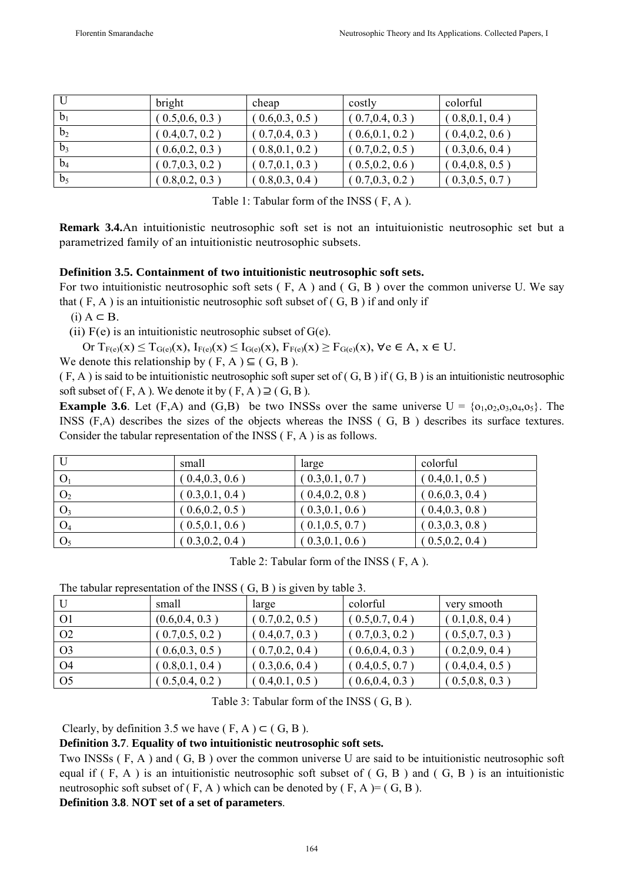|                | bright          | cheap           | costly          | colorful        |
|----------------|-----------------|-----------------|-----------------|-----------------|
| b <sub>1</sub> | (0.5, 0.6, 0.3) | 0.6, 0.3, 0.5   | (0.7, 0.4, 0.3) | (0.8, 0.1, 0.4) |
| b <sub>2</sub> | (0.4, 0.7, 0.2) | (0.7, 0.4, 0.3) | (0.6, 0.1, 0.2) | (0.4, 0.2, 0.6) |
| $b_3$          | (0.6, 0.2, 0.3) | 0.8, 0.1, 0.2   | (0.7, 0.2, 0.5) | (0.3, 0.6, 0.4) |
| $b_4$          | (0.7, 0.3, 0.2) | 0.7, 0.1, 0.3   | 0.5, 0.2, 0.6   | (0.4, 0.8, 0.5) |
| b <sub>5</sub> | (0.8, 0.2, 0.3) | 0.8, 0.3, 0.4   | [0.7, 0.3, 0.2] | (0.3, 0.5, 0.7) |

Table 1: Tabular form of the INSS ( F, A ).

**Remark 3.4.**An intuitionistic neutrosophic soft set is not an intuituionistic neutrosophic set but a parametrized family of an intuitionistic neutrosophic subsets.

## **Definition 3.5. Containment of two intuitionistic neutrosophic soft sets.**

For two intuitionistic neutrosophic soft sets  $(F, A)$  and  $(G, B)$  over the common universe U. We say that  $(F, A)$  is an intuitionistic neutrosophic soft subset of  $(G, B)$  if and only if

 $(i)$  A  $\subset$  B.

(ii)  $F(e)$  is an intuitionistic neutrosophic subset of  $G(e)$ .

Or  $T_{F(e)}(x) \leq T_{G(e)}(x)$ ,  $I_{F(e)}(x) \leq I_{G(e)}(x)$ ,  $F_{F(e)}(x) \geq F_{G(e)}(x)$ ,  $\forall e \in A$ ,  $x \in U$ .

We denote this relationship by ( $F, A$ )  $\subseteq$  ( $G, B$ ).

 $(F, A)$  is said to be intuitionistic neutrosophic soft super set of  $(G, B)$  if  $(G, B)$  is an intuitionistic neutrosophic soft subset of  $(F, A)$ . We denote it by  $(F, A) \supseteq (G, B)$ .

**Example 3.6**. Let  $(F,A)$  and  $(G,B)$  be two INSSs over the same universe  $U = \{0,000,000,000\}$ . The INSS (F,A) describes the sizes of the objects whereas the INSS ( G, B ) describes its surface textures. Consider the tabular representation of the INSS ( F, A ) is as follows.

| U              | small           | large             | colorful        |
|----------------|-----------------|-------------------|-----------------|
|                | (0.4, 0.3, 0.6) | (0.3, 0.1, 0.7)   | (0.4, 0.1, 0.5) |
| O <sub>2</sub> | (0.3, 0.1, 0.4) | (0.4, 0.2, 0.8)   | (0.6, 0.3, 0.4) |
| $O_3$          | (0.6, 0.2, 0.5) | (0.3, 0.1, 0.6)   | (0.4, 0.3, 0.8) |
| O <sub>4</sub> | (0.5, 0.1, 0.6) | (0.1, 0.5, 0.7)   | (0.3, 0.3, 0.8) |
| O <sub>5</sub> | (0.3, 0.2, 0.4) | $0.3, 0.1, 0.6$ ) | (0.5, 0.2, 0.4) |

Table 2: Tabular form of the INSS ( F, A ).

The tabular representation of the INSS ( G, B ) is given by table 3.

|                | small           | large           | colorful        | very smooth     |
|----------------|-----------------|-----------------|-----------------|-----------------|
| -01            | (0.6, 0.4, 0.3) | (0.7, 0.2, 0.5) | (0.5, 0.7, 0.4) | (0.1, 0.8, 0.4) |
| O <sub>2</sub> | (0.7, 0.5, 0.2) | (0.4, 0.7, 0.3) | (0.7, 0.3, 0.2) | (0.5, 0.7, 0.3) |
| O3             | (0.6, 0.3, 0.5) | (0.7, 0.2, 0.4) | (0.6, 0.4, 0.3) | (0.2, 0.9, 0.4) |
| O4             | (0.8, 0.1, 0.4) | (0.3, 0.6, 0.4) | (0.4, 0.5, 0.7) | (0.4, 0.4, 0.5) |
| O <sub>5</sub> | (0.5, 0.4, 0.2) | (0.4, 0.1, 0.5) | (0.6, 0.4, 0.3) | (0.5, 0.8, 0.3) |

Table 3: Tabular form of the INSS ( G, B ).

Clearly, by definition 3.5 we have  $(F, A) \subset (G, B)$ .

## **Definition 3.7**. **Equality of two intuitionistic neutrosophic soft sets.**

Two INSSs ( F, A ) and ( G, B ) over the common universe U are said to be intuitionistic neutrosophic soft equal if  $(F, A)$  is an intuitionistic neutrosophic soft subset of  $(G, B)$  and  $(G, B)$  is an intuitionistic neutrosophic soft subset of  $(F, A)$  which can be denoted by  $(F, A) = (G, B)$ .

## **Definition 3.8**. **NOT set of a set of parameters**.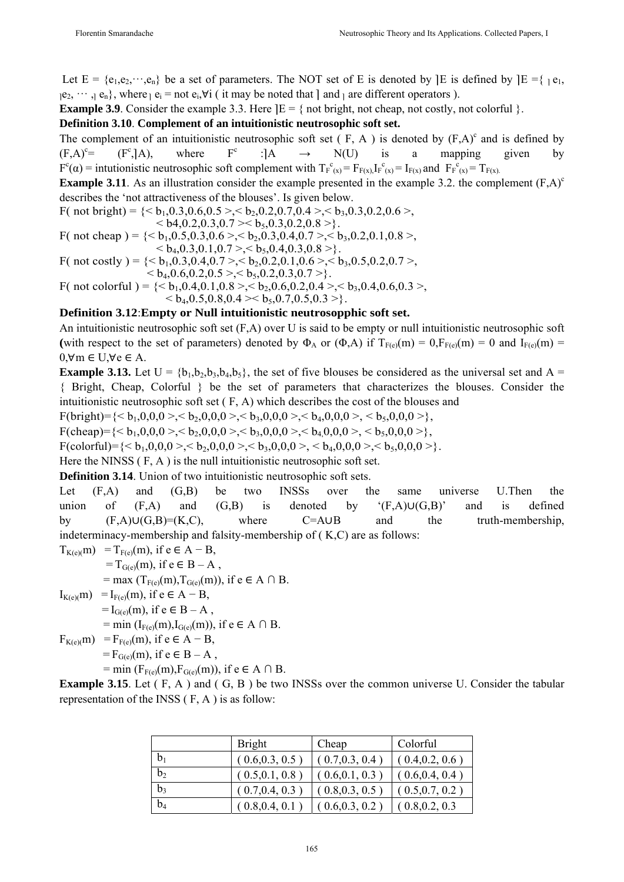Let  $E = {e_1, e_2, \dots, e_n}$  be a set of parameters. The NOT set of E is denoted by  $E$  is defined by  $E = {e_1, e_2, \dots, e_n}$  ${}_{1}e_{2}$ ,  $\cdots$ ,  ${}_{1}e_{n}$ , where  ${}_{1}e_{i}$  = not  $e_{i}$ , $\forall i$  (it may be noted that ] and  ${}_{1}$  are different operators ).

**Example 3.9**. Consider the example 3.3. Here  $E = \{$  not bright, not cheap, not costly, not colorful  $\}$ .

#### **Definition 3.10**. **Complement of an intuitionistic neutrosophic soft set.**

The complement of an intuitionistic neutrosophic soft set  $(F, A)$  is denoted by  $(F,A)^c$  and is defined by  $(F.A)^c =$  $(F^c, A)$ , where  $F<sup>c</sup>$ : $[A \rightarrow N(U)$  is a mapping given by  $F^{c}(\alpha)$  = intutionistic neutrosophic soft complement with  $T_{F}^{c}{}_{(x)} = F_{F(x)} I_{F}^{c}{}_{(x)} = I_{F(x)}$  and  $F_{F}^{c}{}_{(x)} = T_{F(x)}$ .

**Example 3.11**. As an illustration consider the example presented in the example 3.2. the complement  $(F,A)^c$ describes the 'not attractiveness of the blouses'. Is given below.

F( not bright) =  $\{< b_1, 0.3, 0.6, 0.5>, < b_2, 0.2, 0.7, 0.4>, < b_3, 0.3, 0.2, 0.6\}$  ${}_{5.1}$  < b4,0.2,0.3,0.7 >  $>$  b<sub>5</sub>,0.3,0.2,0.8 > }. F( not cheap ) =  $\{< b_1, 0.5, 0.3, 0.6 > c_1, 0.3, 0.4, 0.7 > c_2, b_3, 0.2, 0.1, 0.8 > c_4, 0.3, 0.4, 0.7 \}$ 

 ${}_{5.6} > b_{4.0}$ , 0.3, 0.1, 0.7 >,  ${}_{5.6} > b_{5.0}$ , 0.4, 0.3, 0.8 >}.

F( not costly ) =  $\{,  $< b_2, 0.2, 0.1, 0.6\}$ ,  $< b_3, 0.5, 0.2, 0.7$ ,$  $\langle b_4, 0.6, 0.2, 0.5 \rangle \langle b_5, 0.2, 0.3, 0.7 \rangle$ 

F( not colorful ) =  $\{< b_1, 0.4, 0.1, 0.8>, < b_2, 0.6, 0.2, 0.4>, < b_3, 0.4, 0.6, 0.3, **0.4**\}$ **.** 

#### **Definition 3.12**:**Empty or Null intuitionistic neutrosopphic soft set.**

An intuitionistic neutrosophic soft set (F,A) over U is said to be empty or null intuitionistic neutrosophic soft (with respect to the set of parameters) denoted by  $\Phi_A$  or  $(\Phi, A)$  if  $T_{F(e)}(m) = 0$ ,  $F_{F(e)}(m) = 0$  and  $I_{F(e)}(m) =$  $0, \forall m \in U, \forall e \in A$ .

**Example 3.13.** Let  $U = \{b_1, b_2, b_3, b_4, b_5\}$ , the set of five blouses be considered as the universal set and A = { Bright, Cheap, Colorful } be the set of parameters that characterizes the blouses. Consider the intuitionistic neutrosophic soft set ( F, A) which describes the cost of the blouses and

 $F(bright)=\{,,,,$ 

F(cheap)={< b1,0,0,0 >,< b2,0,0,0 >,< b3,0,0,0 >,< b4,0,0,0 >, < b5,0,0,0 >},

F(colorful)={< b1,0,0,0 >,< b2,0,0,0 >,< b3,0,0,0 >, < b4,0,0,0 >,< b5,0,0,0 >}.

Here the NINSS  $(F, A)$  is the null intuitionistic neutrosophic soft set.

**Definition 3.14**. Union of two intuitionistic neutrosophic soft sets.

Let  $(F,A)$  and  $(G,B)$  be two INSSs over the same universe U.Then the union of  $(F,A)$  and  $(G,B)$  is denoted by  $'(F,A) \cup (G,B)'$  and is defined by (F,A)∪(G,B)=(K,C), where C=A∪B and the truth-membership, indeterminacy-membership and falsity-membership of ( K,C) are as follows:

$$
T_{K(e)(m)} = T_{F(e)}(m), \text{ if } e \in A - B, \n= T_{G(e)}(m), \text{ if } e \in B - A, \n= max (T_{F(e)}(m), T_{G(e)}(m)), \text{ if } e \in A \cap B. \nI_{K(e)(m)} = I_{F(e)}(m), \text{ if } e \in A - B, \n= I_{G(e)}(m), \text{ if } e \in B - A, \n= min (I_{F(e)}(m), I_{G(e)}(m)), \text{ if } e \in A \cap B. \nF_{K(e)(m)} = F_{F(e)}(m), \text{ if } e \in A - B, \n= F_{G(e)}(m), \text{ if } e \in B - A, \n= min (F - (m) F - (m)), \text{ if } e \in A \cap B.
$$

 $=$  min (F<sub>F(e)</sub>(m),F<sub>G(e)</sub>(m)), if  $e \in A \cap B$ .

**Example 3.15**. Let (F, A) and (G, B) be two INSSs over the common universe U. Consider the tabular representation of the INSS ( F, A ) is as follow:

|                | <b>Bright</b>   | Cheap           | Colorful        |
|----------------|-----------------|-----------------|-----------------|
| $b_1$          | (0.6, 0.3, 0.5) | (0.7, 0.3, 0.4) | (0.4, 0.2, 0.6) |
| b <sub>2</sub> | (0.5, 0.1, 0.8) | (0.6, 0.1, 0.3) | (0.6, 0.4, 0.4) |
| b3             | (0.7, 0.4, 0.3) | (0.8, 0.3, 0.5) | (0.5, 0.7, 0.2) |
| b <sub>4</sub> | (0.8, 0.4, 0.1) | 0.6, 0.3, 0.2   | 0.8, 0.2, 0.3   |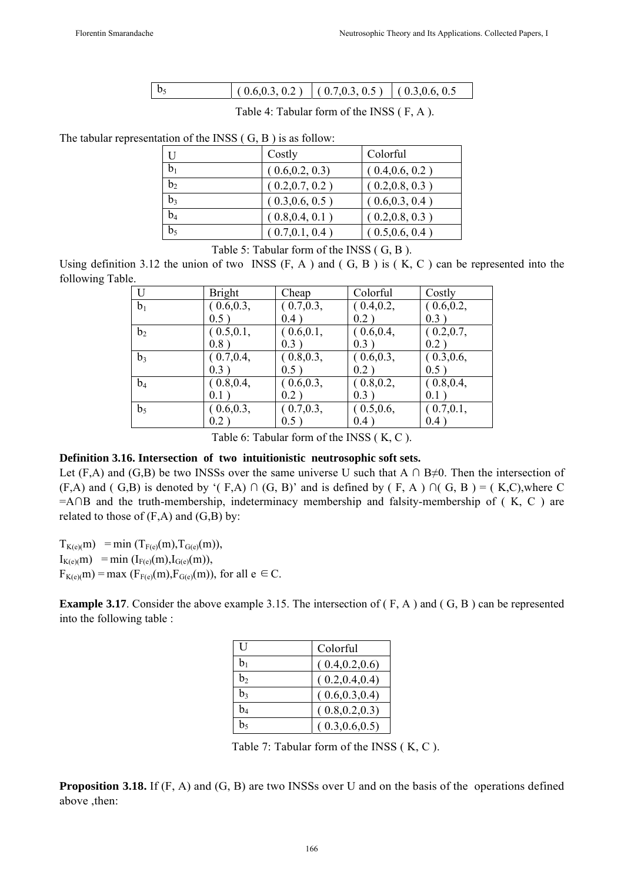| $(0.6, 0.3, 0.2)$ $(0.7, 0.3, 0.5)$ $(0.3, 0.6, 0.5)$ |
|-------------------------------------------------------|
|-------------------------------------------------------|

Table 4: Tabular form of the INSS ( F, A ).

The tabular representation of the INSS ( G, B ) is as follow:

| U              | Costly          | Colorful        |
|----------------|-----------------|-----------------|
| b <sub>1</sub> | (0.6, 0.2, 0.3) | (0.4, 0.6, 0.2) |
| b <sub>2</sub> | (0.2, 0.7, 0.2) | (0.2, 0.8, 0.3) |
| $b_3$          | (0.3, 0.6, 0.5) | (0.6, 0.3, 0.4) |
| $b_4$          | (0.8, 0.4, 0.1) | (0.2, 0.8, 0.3) |
| $b_5$          | (0.7, 0.1, 0.4) | (0.5, 0.6, 0.4) |

Table 5: Tabular form of the INSS ( G, B ).

Using definition 3.12 the union of two INSS  $(F, A)$  and  $(G, B)$  is  $(K, C)$  can be represented into the following Table.

| U              | <b>Bright</b> | Cheap      | Colorful   | Costly     |
|----------------|---------------|------------|------------|------------|
| b <sub>1</sub> | (0.6, 0.3,    | (0.7, 0.3, | (0.4, 0.2, | (0.6, 0.2, |
|                | 0.5)          | 0.4)       | 0.2)       | 0.3)       |
| b <sub>2</sub> | (0.5, 0.1,    | (0.6, 0.1, | (0.6, 0.4, | (0.2, 0.7, |
|                | 0.8)          | 0.3)       | 0.3)       | 0.2)       |
| b <sub>3</sub> | (0.7, 0.4,    | (0.8, 0.3, | (0.6, 0.3, | (0.3, 0.6, |
|                | 0.3)          | 0.5)       | 0.2)       | 0.5)       |
| $b_4$          | (0.8, 0.4,    | (0.6, 0.3, | (0.8, 0.2, | (0.8, 0.4, |
|                | 0.1)          | 0.2)       | 0.3)       | 0.1)       |
| b <sub>5</sub> | (0.6, 0.3,    | (0.7, 0.3, | (0.5, 0.6, | (0.7, 0.1, |
|                | 0.2)          | 0.5)       | 0.4)       | 0.4)       |

Table 6: Tabular form of the INSS ( K, C ).

#### **Definition 3.16. Intersection of two intuitionistic neutrosophic soft sets.**

Let (F,A) and (G,B) be two INSSs over the same universe U such that A  $\cap$  B≠0. Then the intersection of  $(F,A)$  and  $(F,B)$  is denoted by ' $(F,A) \cap (G,B)$ ' and is defined by  $(F,A) \cap (G,B) = (K,C)$ , where C  $=$ A∩B and the truth-membership, indeterminacy membership and falsity-membership of ( $K, C$ ) are related to those of  $(F,A)$  and  $(G,B)$  by:

 $T_{K(e)(m)} = \min (T_{F(e)}(m), T_{G(e)}(m)),$  $I_{K(e)}(m) = min (I_{F(e)}(m), I_{G(e)}(m)),$  $F_{K(e)(m)} = \max$  ( $F_{F(e)}(m)$ ,  $F_{G(e)}(m)$ ), for all  $e \in C$ .

**Example 3.17**. Consider the above example 3.15. The intersection of (F, A) and (G, B) can be represented into the following table :

| H  | Colorful        |
|----|-----------------|
| bı | (0.4, 0.2, 0.6) |
| b› | (0.2, 0.4, 0.4) |
| b, | (0.6, 0.3, 0.4) |
| b4 | (0.8, 0.2, 0.3) |
|    | (0.3, 0.6, 0.5) |

Table 7: Tabular form of the INSS ( K, C ).

**Proposition 3.18.** If (F, A) and (G, B) are two INSSs over U and on the basis of the operations defined above ,then: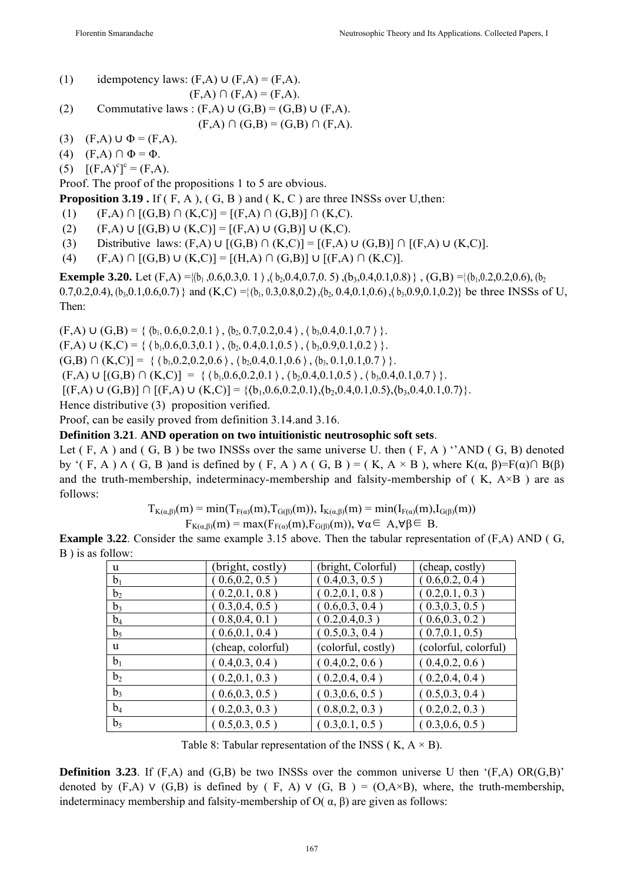- (1) idempotency laws:  $(F,A) \cup (F,A) = (F,A)$ .  $(F,A) \cap (F,A) = (F,A).$
- (2) Commutative laws :  $(F,A) \cup (G,B) = (G,B) \cup (F,A)$ .  $(F,A) \cap (G,B) = (G,B) \cap (F,A).$
- (3)  $(F,A) \cup \Phi = (F,A).$
- (4)  $(F,A) \cap \Phi = \Phi$ .

(5)  $[(F,A)^c]^c = (F,A).$ 

Proof. The proof of the propositions 1 to 5 are obvious.

**Proposition 3.19.** If (F, A), (G, B) and (K, C) are three INSSs over U, then:

(1)  $(F,A) \cap [(G,B) \cap (K,C)] = [(F,A) \cap (G,B)] \cap (K,C).$ 

- (2)  $(F,A) \cup [(G,B) \cup (K,C)] = [(F,A) \cup (G,B)] \cup (K,C).$
- (3) Distributive laws:  $(F,A) \cup [(G,B) \cap (K,C)] = [(F,A) \cup (G,B)] \cap [(F,A) \cup (K,C)]$ .
- (4)  $(F,A) \cap [(G,B) \cup (K,C)] = [(H,A) \cap (G,B)] \cup [(F,A) \cap (K,C)].$

**Exemple 3.20.** Let  $(F,A) = \{(b_1, 0.6, 0.3, 0.1) \}, (b_2, 0.4, 0.7, 0.5) \}, (b_3, 0.4, 0.1, 0.8) \}, (G,B) = \{(b_1, 0.2, 0.2, 0.6), (b_2, 0.4, 0.7, 0.8, 0.4, 0.1, 0.8)\}$ 0.7,0.2,0.4), (b<sub>3</sub>,0.1,0.6,0.7) } and (K,C) ={(b<sub>1</sub>, 0.3,0.8,0.2), (b<sub>2</sub>, 0.4,0.1,0.6), (b<sub>3</sub>,0.9,0.1,0.2)} be three INSSs of U, Then:

 $(F,A) \cup (G,B) = \{ (b_1, 0.6, 0.2, 0.1), (b_2, 0.7, 0.2, 0.4), (b_3, 0.4, 0.1, 0.7) \}.$  $(F,A) \cup (K,C) = \{ (b_1,0.6,0.3,0.1), (b_2,0.4,0.1,0.5), (b_3,0.9,0.1,0.2) \}.$  $(G,B) \cap (K,C)$  = {  $(b_1,0.2,0.2,0.6)$ ,  $(b_2,0.4,0.1,0.6)$ ,  $(b_3,0.1,0.1,0.7)$  }.  $(F,A) \cup [(G,B) \cap (K,C)] = \{ (b_1,0.6,0.2,0.1), (b_2,0.4,0.1,0.5), (b_3,0.4,0.1,0.7) \}.$  $[(F,A) \cup (G,B)] \cap [(F,A) \cup (K,C)] = \{(b_1,0.6,0.2,0.1), (b_2,0.4,0.1,0.5), (b_3,0.4,0.1,0.7)\}.$ Hence distributive (3) proposition verified.

Proof, can be easily proved from definition 3.14.and 3.16.

#### **Definition 3.21**. **AND operation on two intuitionistic neutrosophic soft sets**.

Let  $(F, A)$  and  $(G, B)$  be two INSSs over the same universe U. then  $(F, A)$  'AND  $(G, B)$  denoted by '( F, A )  $\wedge$  ( G, B )and is defined by ( F, A )  $\wedge$  ( G, B ) = ( K, A × B ), where K( $\alpha$ ,  $\beta$ )=F( $\alpha$ ) $\cap$  B( $\beta$ ) and the truth-membership, indeterminacy-membership and falsity-membership of  $(K, A \times B)$  are as follows:

 $T_{K(\alpha,\beta)}(m) = min(T_{F(\alpha)}(m), T_{G(\beta)}(m)), I_{K(\alpha,\beta)}(m) = min(I_{F(\alpha)}(m), I_{G(\beta)}(m))$ 

 $F_{K(\alpha,\beta)}(m) = \max(F_{F(\alpha)}(m), F_{G(\beta)}(m)), \forall \alpha \in A, \forall \beta \in B.$ 

**Example 3.22**. Consider the same example 3.15 above. Then the tabular representation of (F,A) AND ( G, B ) is as follow:

| u              | (bright, costly)  | (bright, Colorful) | (cheap, costly)      |
|----------------|-------------------|--------------------|----------------------|
| b <sub>1</sub> | 0.6, 0.2, 0.5)    | (0.4, 0.3, 0.5)    | (0.6, 0.2, 0.4)      |
| b <sub>2</sub> | [0.2, 0.1, 0.8]   | [0.2, 0.1, 0.8]    | (0.2, 0.1, 0.3)      |
| $b_3$          | (0.3, 0.4, 0.5)   | (0.6, 0.3, 0.4)    | (0.3, 0.3, 0.5)      |
| $b_4$          | [0.8, 0.4, 0.1]   | 0.2, 0.4, 0.3)     | [0.6, 0.3, 0.2]      |
| b <sub>5</sub> | $0.6, 0.1, 0.4$ ) | $0.5, 0.3, 0.4$ )  | (0.7, 0.1, 0.5)      |
| u              | (cheap, colorful) | (colorful, costly) | (colorful, colorful) |
| b <sub>1</sub> | (0.4, 0.3, 0.4)   | (0.4, 0.2, 0.6)    | (0.4, 0.2, 0.6)      |
| b <sub>2</sub> | (0.2, 0.1, 0.3)   | (0.2, 0.4, 0.4)    | (0.2, 0.4, 0.4)      |
| $b_3$          | (0.6, 0.3, 0.5)   | (0.3, 0.6, 0.5)    | (0.5, 0.3, 0.4)      |
| $b_4$          | (0.2, 0.3, 0.3)   | (0.8, 0.2, 0.3)    | (0.2, 0.2, 0.3)      |
| b <sub>5</sub> | (0.5, 0.3, 0.5)   | (0.3, 0.1, 0.5)    | (0.3, 0.6, 0.5)      |

Table 8: Tabular representation of the INSS ( $K, A \times B$ ).

**Definition 3.23**. If  $(F,A)$  and  $(G,B)$  be two INSSs over the common universe U then  $'(F,A)$  OR( $(G,B)$ )' denoted by  $(F,A)$   $\vee$   $(G,B)$  is defined by  $(F, A)$   $\vee$   $(G, B) = (O, A \times B)$ , where, the truth-membership, indeterminacy membership and falsity-membership of  $O( \alpha, \beta)$  are given as follows: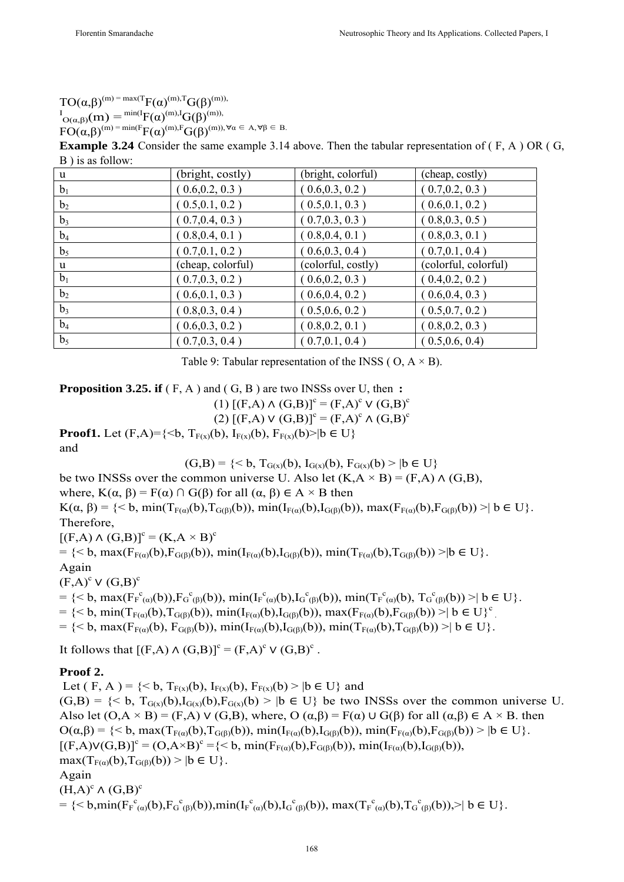$TO(\alpha,\beta)^{(m)} = max(TF(\alpha)^{(m),T}G(\beta)^{(m))}$  $I_{O(α,β)}(m) = {^{min(I)}}F(α)^{(m),I}G(β)^{(m),}$  $FO(\alpha,\beta)^{(m)} = min(F_{\Gamma}(\alpha)^{(m)},F_{\Gamma}(\beta)^{(m)}), \forall \alpha \in A, \forall \beta \in B.$ 

**Example 3.24** Consider the same example 3.14 above. Then the tabular representation of (F, A) OR (G, B ) is as follow:

| u              | (bright, costly)  | (bright, colorful) | (cheap, costly)      |
|----------------|-------------------|--------------------|----------------------|
| b <sub>1</sub> | (.0.6, 0.2, 0.3)  | (0.6, 0.3, 0.2)    | (0.7, 0.2, 0.3)      |
| b <sub>2</sub> | (.0.5, 0.1, 0.2)  | (0.5, 0.1, 0.3)    | (0.6, 0.1, 0.2)      |
| $b_3$          | (0.7, 0.4, 0.3)   | (0.7, 0.3, 0.3)    | (0.8, 0.3, 0.5)      |
| $b_4$          | (0.8, 0.4, 0.1)   | (0.8, 0.4, 0.1)    | (0.8, 0.3, 0.1)      |
| b <sub>5</sub> | (0.7, 0.1, 0.2)   | (0.6, 0.3, 0.4)    | (0.7, 0.1, 0.4)      |
| u              | (cheap, colorful) | (colorful, costly) | (colorful, colorful) |
| b <sub>1</sub> | (0.7, 0.3, 0.2)   | (0.6, 0.2, 0.3)    | (0.4, 0.2, 0.2)      |
| b <sub>2</sub> | (.0.6, 0.1, 0.3)  | (0.6, 0.4, 0.2)    | (0.6, 0.4, 0.3)      |
| $b_3$          | (.0.8, 0.3, 0.4)  | (0.5, 0.6, 0.2)    | (.0.5, 0.7, 0.2)     |
| $b_4$          | (.0.6, 0.3, 0.2)  | (.0.8, 0.2, 0.1)   | (.0.8, 0.2, 0.3)     |
| b <sub>5</sub> | (0.7, 0.3, 0.4)   | (0.7, 0.1, 0.4)    | (0.5, 0.6, 0.4)      |

Table 9: Tabular representation of the INSS ( $O$ ,  $A \times B$ ).

**Proposition 3.25. if**  $(F, A)$  and  $(G, B)$  are two INSSs over U, then :

 $(1)$   $[(F,A) \wedge (G,B)]^c = (F,A)^c \vee (G,B)^c$ 

 $(2) [(F,A) \vee (G,B)]^c = (F,A)^c \wedge (G,B)^c$ 

**Proof1.** Let  $(F,A)=\{\leq b, T_{F(x)}(b), I_{F(x)}(b), F_{F(x)}(b)\geq |b \in U\}$ and

 $(G,B) = \{ \leq b, T_{G(x)}(b), I_{G(x)}(b), F_{G(x)}(b) \geq | b \in U \}$ 

be two INSSs over the common universe U. Also let  $(K, A \times B) = (F, A) \wedge (G, B)$ ,

where,  $K(\alpha, \beta) = F(\alpha) \cap G(\beta)$  for all  $(\alpha, \beta) \in A \times B$  then

 $K(\alpha, \beta) = \{ \leq b, \min(T_{F(\alpha)}(b), T_{G(\beta)}(b)), \min(T_{F(\alpha)}(b), I_{G(\beta)}(b)), \max(F_{F(\alpha)}(b), F_{G(\beta)}(b)) \geq | b \in U \}.$ Therefore,

 $[(F,A) \wedge (G,B)]^c = (K,A \times B)^c$ 

 $=$  {< b, max( $F_{F(\alpha)}(b)$ , $F_{G(\beta)}(b)$ ), min( $I_{F(\alpha)}(b)$ , $I_{G(\beta)}(b)$ ), min( $T_{F(\alpha)}(b)$ , $T_{G(\beta)}(b)$ ) >|b ∈ U}. Again  $(F,A)^c V(G,B)^c$ 

 $= \{ \langle b, \max(F_{F(\alpha)}^c(b)), F_{G(\beta)}^c(b)), \min(F_{F(\alpha)}^c(b), I_{G(\beta)}^c(b)), \min(T_{F(\alpha)}^c(b), T_{G(\beta)}^c(b)) \rangle \mid b \in U \}.$ 

 $=$  {< b, min(T<sub>F(α)</sub>(b),T<sub>G(β)</sub>(b)), min(I<sub>F(α)</sub>(b),I<sub>G(β)</sub>(b)), max(F<sub>F(α)</sub>(b),F<sub>G(β)</sub>(b)) >| b ∈ U}<sup>c</sup>

 $=$  {< b, max(F<sub>F(α)</sub>(b), F<sub>G(β)</sub>(b)), min(I<sub>F(α)</sub>(b)), min(T<sub>F(α)</sub>(b), T<sub>G(β)</sub>(b)) >| b ∈ U}.

It follows that  $[(F,A) \wedge (G,B)]^c = (F,A)^c \vee (G,B)^c$ .

#### **Proof 2.**

Let ( F, A ) =  $\{< b, T_{F(x)}(b), I_{F(x)}(b), F_{F(x)}(b) > |b \in U\}$  and  $(G,B) = \{ \leq b, T_{G(x)}(b), I_{G(x)}(b), F_{G(x)}(b) \geq | b \in U \}$  be two INSSs over the common universe U. Also let  $(O, A \times B) = (F, A) \vee (G, B)$ , where,  $O(\alpha, \beta) = F(\alpha) \cup G(\beta)$  for all  $(\alpha, \beta) \in A \times B$ . then  $O(α, β) = { **b**, max(T<sub>F(α)</sub>(b), T<sub>G(β)</sub>(b)), min(T<sub>F(α)</sub>(b), I<sub>G(β)</sub>(b)), min(F<sub>F(α)</sub>(b), F<sub>G(β)</sub>(b)) > |b ∈ U}.$  $[(F,A)V(G,B)]^c = (O, A \times B)^c = \{< b, \min(F_{F(\alpha)}(b), F_{G(\beta)}(b)), \min(F_{F(\alpha)}(b), I_{G(\beta)}(b)),\}$  $\max(T_{F(\alpha)}(b), T_{G(\beta)}(b)) > |b \in U$ . Again  $(H,A)^c \wedge (G,B)^c$  $=\{< b, min(F_F^c_{(a)}(b), F_G^c_{(b)}(b)), min(F_f^c_{(a)}(b), I_G^c_{(b)}(b)), max(T_F^c_{(a)}(b), T_G^c_{(b)}(b))\} > | b \in U \}.$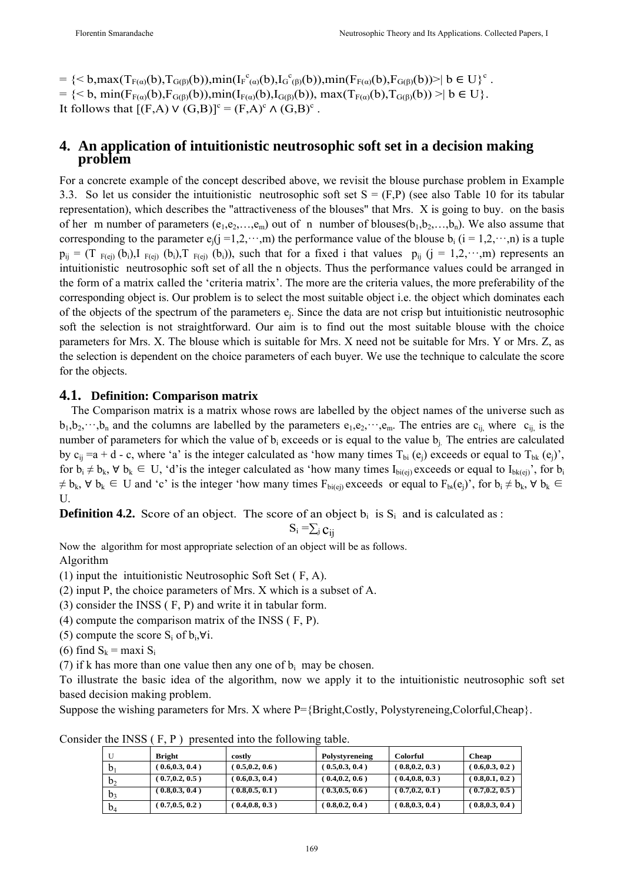$=\frac{1}{2}$  = {< b,max(T<sub>F(a)</sub>(b),T<sub>G(β)</sub>(b)),min(I<sub>F</sub><sup>c</sup><sub>(a)</sub>(b),I<sub>G</sub><sup>c</sup><sub>(β)</sub>(b)),min(F<sub>F(a)</sub>(b),F<sub>G(β)</sub>(b))>| b  $\in U$ }<sup>c</sup>. = {< b, min( $F_{F(\alpha)}(b)$ , $F_{G(\beta)}(b)$ ), $min(I_{F(\alpha)}(b)$ , $I_{G(\beta)}(b))$ ,  $max(T_{F(\alpha)}(b)$ , $T_{G(\beta)}(b))$  >| b  $\in U$ }. It follows that  $[(F,A) \vee (G,B)]^c = (F,A)^c \wedge (G,B)^c$ .

# **4. An application of intuitionistic neutrosophic soft set in a decision making problem**

For a concrete example of the concept described above, we revisit the blouse purchase problem in Example 3.3. So let us consider the intuitionistic neutrosophic soft set  $S = (F,P)$  (see also Table 10 for its tabular representation), which describes the "attractiveness of the blouses" that Mrs. X is going to buy. on the basis of her m number of parameters  $(e_1, e_2, \ldots, e_m)$  out of n number of blouses $(b_1, b_2, \ldots, b_n)$ . We also assume that corresponding to the parameter  $e_i(j=1,2,\dots,m)$  the performance value of the blouse  $b_i$  ( $i=1,2,\dots,n$ ) is a tuple  $p_{ij} = (T_{F(ei)}(b_i), T_{F(ei)}(b_i), T_{F(ei)}(b_i))$ , such that for a fixed i that values  $p_{ij}$  (j = 1,2,...,m) represents an intuitionistic neutrosophic soft set of all the n objects. Thus the performance values could be arranged in the form of a matrix called the 'criteria matrix'. The more are the criteria values, the more preferability of the corresponding object is. Our problem is to select the most suitable object i.e. the object which dominates each of the objects of the spectrum of the parameters ej. Since the data are not crisp but intuitionistic neutrosophic soft the selection is not straightforward. Our aim is to find out the most suitable blouse with the choice parameters for Mrs. X. The blouse which is suitable for Mrs. X need not be suitable for Mrs. Y or Mrs. Z, as the selection is dependent on the choice parameters of each buyer. We use the technique to calculate the score for the objects.

#### **4.1. Definition: Comparison matrix**

 The Comparison matrix is a matrix whose rows are labelled by the object names of the universe such as  $b_1,b_2,\dots,b_n$  and the columns are labelled by the parameters  $e_1,e_2,\dots,e_m$ . The entries are  $c_{ij}$ , where  $c_{ij}$  is the number of parameters for which the value of  $b_i$  exceeds or is equal to the value  $b_i$ . The entries are calculated by  $c_{ii} = a + d - c$ , where 'a' is the integer calculated as 'how many times  $T_{bi} (e_i)$  exceeds or equal to  $T_{bk} (e_i)'$ , for  $b_i \neq b_k$ ,  $\forall b_k \in U$ , 'd'is the integer calculated as 'how many times I<sub>bi(ej)</sub> exceeds or equal to I<sub>bk(ej)</sub>', for  $b_i$  $\neq$  b<sub>k</sub>,  $\forall$  b<sub>k</sub>  $\in$  U and 'c' is the integer 'how many times F<sub>bi(ej)</sub> exceeds or equal to F<sub>bk</sub>(e<sub>j</sub>)', for b<sub>i</sub>  $\neq$  b<sub>k</sub>,  $\forall$  b<sub>k</sub>  $\in$ U.

**Definition 4.2.** Score of an object. The score of an object  $b_i$  is  $S_i$  and is calculated as :

$$
S_i = \sum_j c_{ij}
$$

Now the algorithm for most appropriate selection of an object will be as follows.

Algorithm

(1) input the intuitionistic Neutrosophic Soft Set ( F, A).

(2) input P, the choice parameters of Mrs. X which is a subset of A.

(3) consider the INSS ( F, P) and write it in tabular form.

(4) compute the comparison matrix of the INSS ( F, P).

(5) compute the score  $S_i$  of  $b_i, \forall i$ .

(6) find  $S_k$  = maxi  $S_i$ 

(7) if k has more than one value then any one of  $b_i$  may be chosen.

To illustrate the basic idea of the algorithm, now we apply it to the intuitionistic neutrosophic soft set based decision making problem.

Suppose the wishing parameters for Mrs. X where  $P=\{Bright, Costly, Polystyreneing, Colorful, Cheap\}$ .

|                | Bright            | costly            | Polystyreneing  | <b>Colorful</b> | <b>Cheap</b>    |
|----------------|-------------------|-------------------|-----------------|-----------------|-----------------|
|                | (0.6, 0.3, 0.4)   | (0.5, 0.2, 0.6)   | (0.5, 0.3, 0.4) | (0.8, 0.2, 0.3) | (0.6, 0.3, 0.2) |
| $b_2$          | (0.7, 0.2, 0.5)   | $0.6, 0.3, 0.4$ ) | (0.4, 0.2, 0.6) | (0.4, 0.8, 0.3) | (0.8, 0.1, 0.2) |
| b <sub>3</sub> | $0.8, 0.3, 0.4$ ) | $0.8, 0.5, 0.1$ ) | (0.3, 0.5, 0.6) | (0.7, 0.2, 0.1) | (0.7, 0.2, 0.5) |
| $b_4$          | (0.7, 0.5, 0.2)   | (0.4, 0.8, 0.3)   | (0.8, 0.2, 0.4) | (0.8, 0.3, 0.4) | (0.8, 0.3, 0.4) |

Consider the INSS ( F, P ) presented into the following table.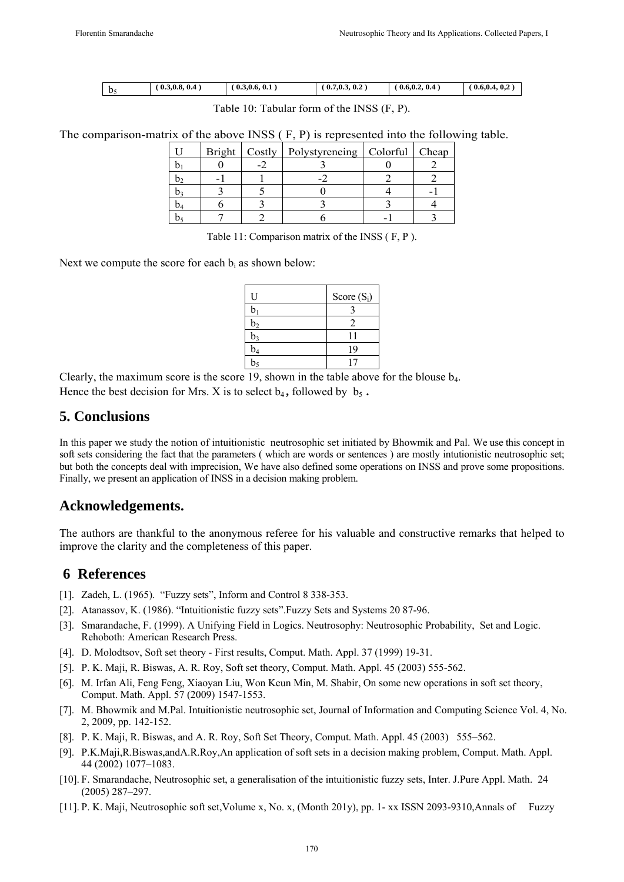| υ. | 0.4<br>$^{\circ}$ 0.3.0.8. | $\mathbf{a}$<br>(0.3, 0.6, 0.1) | 0.7, 0.3, 0.2 | 0.6, 0.2, 0.4 | 0.6.0.4.0.2 |
|----|----------------------------|---------------------------------|---------------|---------------|-------------|

Table 10: Tabular form of the INSS (F, P).

The comparison-matrix of the above INSS ( F, P) is represented into the following table.

|  | Bright   Costly   Polystyreneing   Colorful   Cheap |  |
|--|-----------------------------------------------------|--|
|  |                                                     |  |
|  |                                                     |  |
|  |                                                     |  |
|  |                                                     |  |
|  |                                                     |  |

Table 11: Comparison matrix of the INSS ( F, P ).

Next we compute the score for each  $b_i$  as shown below:

| U              | Score $(S_i)$ |
|----------------|---------------|
| $\mathbf b$    |               |
| $\rm b_2$      |               |
| $b_3$          |               |
| $b_4$          | 19            |
| b <sub>5</sub> |               |

Clearly, the maximum score is the score 19, shown in the table above for the blouse  $b_4$ . Hence the best decision for Mrs. X is to select  $b_4$ , followed by  $b_5$ .

#### **5. Conclusions**

In this paper we study the notion of intuitionistic neutrosophic set initiated by Bhowmik and Pal. We use this concept in soft sets considering the fact that the parameters ( which are words or sentences ) are mostly intutionistic neutrosophic set; but both the concepts deal with imprecision, We have also defined some operations on INSS and prove some propositions. Finally, we present an application of INSS in a decision making problem.

## **Acknowledgements.**

The authors are thankful to the anonymous referee for his valuable and constructive remarks that helped to improve the clarity and the completeness of this paper.

## **6 References**

- [1]. Zadeh, L. (1965). "Fuzzy sets", Inform and Control 8 338-353.
- [2]. Atanassov, K. (1986). "Intuitionistic fuzzy sets".Fuzzy Sets and Systems 20 87-96.
- [3]. Smarandache, F. (1999). A Unifying Field in Logics. Neutrosophy: Neutrosophic Probability, Set and Logic. Rehoboth: American Research Press.
- [4]. D. Molodtsov, Soft set theory First results, Comput. Math. Appl. 37 (1999) 19-31.
- [5]. P. K. Maji, R. Biswas, A. R. Roy, Soft set theory, Comput. Math. Appl. 45 (2003) 555-562.
- [6]. M. Irfan Ali, Feng Feng, Xiaoyan Liu, Won Keun Min, M. Shabir, On some new operations in soft set theory, Comput. Math. Appl. 57 (2009) 1547-1553.
- [7]. M. Bhowmik and M.Pal. Intuitionistic neutrosophic set, Journal of Information and Computing Science Vol. 4, No. 2, 2009, pp. 142-152.
- [8]. P. K. Maji, R. Biswas, and A. R. Roy, Soft Set Theory, Comput. Math. Appl. 45 (2003) 555–562.
- [9]. P.K.Maji,R.Biswas,andA.R.Roy,An application of soft sets in a decision making problem, Comput. Math. Appl. 44 (2002) 1077–1083.
- [10]. F. Smarandache, Neutrosophic set, a generalisation of the intuitionistic fuzzy sets, Inter. J.Pure Appl. Math. 24 (2005) 287–297.
- [11]. P. K. Maji, Neutrosophic soft set,Volume x, No. x, (Month 201y), pp. 1- xx ISSN 2093-9310,Annals of Fuzzy